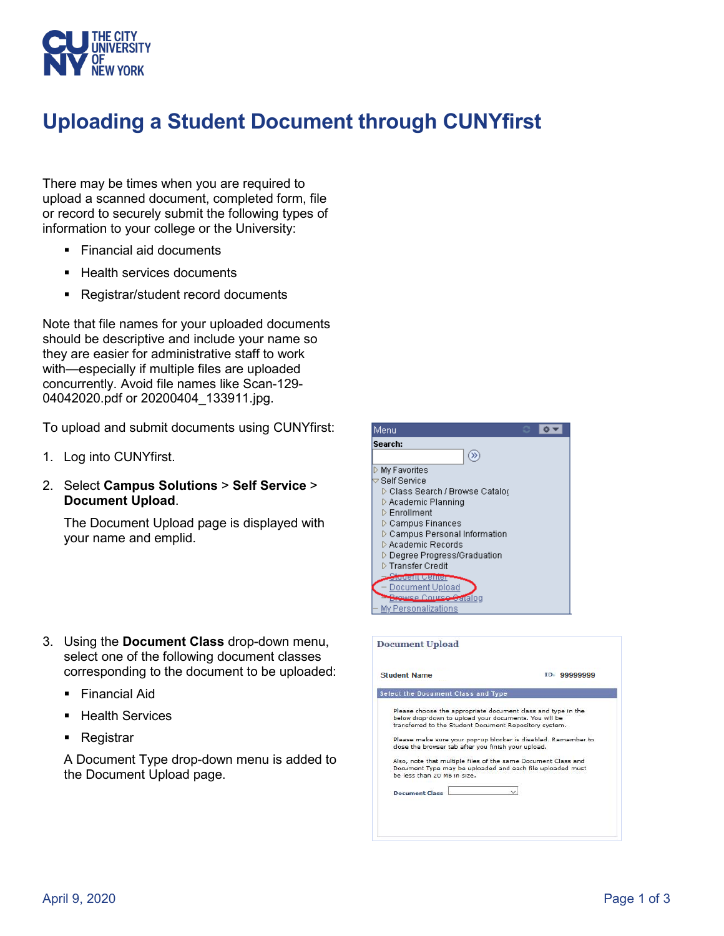

## **Uploading a Student Document through CUNYfirst**

There may be times when you are required to upload a scanned document, completed form, file or record to securely submit the following types of information to your college or the University:

- Financial aid documents
- Health services documents
- Registrar/student record documents

Note that file names for your uploaded documents should be descriptive and include your name so they are easier for administrative staff to work with—especially if multiple files are uploaded concurrently. Avoid file names like Scan-129- 04042020.pdf or 20200404\_133911.jpg.

To upload and submit documents using CUNYfirst:

- 1. Log into CUNYfirst.
- 2. Select **Campus Solutions** > **Self Service** > **Document Upload**.

The Document Upload page is displayed with your name and emplid.

- 3. Using the **Document Class** drop-down menu, select one of the following document classes corresponding to the document to be uploaded:
	- $\blacksquare$  Financial Aid
	- Health Services
	- **Registrar**

A Document Type drop-down menu is added to the Document Upload page.



| <b>Student Name</b>                                                                                                                                                                                                                                                                                                                                                                                 | ID: 99999999                                                  |
|-----------------------------------------------------------------------------------------------------------------------------------------------------------------------------------------------------------------------------------------------------------------------------------------------------------------------------------------------------------------------------------------------------|---------------------------------------------------------------|
| Select the Document Class and Type                                                                                                                                                                                                                                                                                                                                                                  |                                                               |
| Please choose the appropriate document class and type in the<br>below drop-down to upload your documents. You will be<br>transferred to the Student Document Repository system.<br>close the browser tab after you finish your upload.<br>Also, note that multiple files of the same Document Class and<br>Document Type may be uploaded and each file uploaded must<br>he less than 20 MR in size. | Please make sure your pop-up blocker is disabled. Remember to |
|                                                                                                                                                                                                                                                                                                                                                                                                     |                                                               |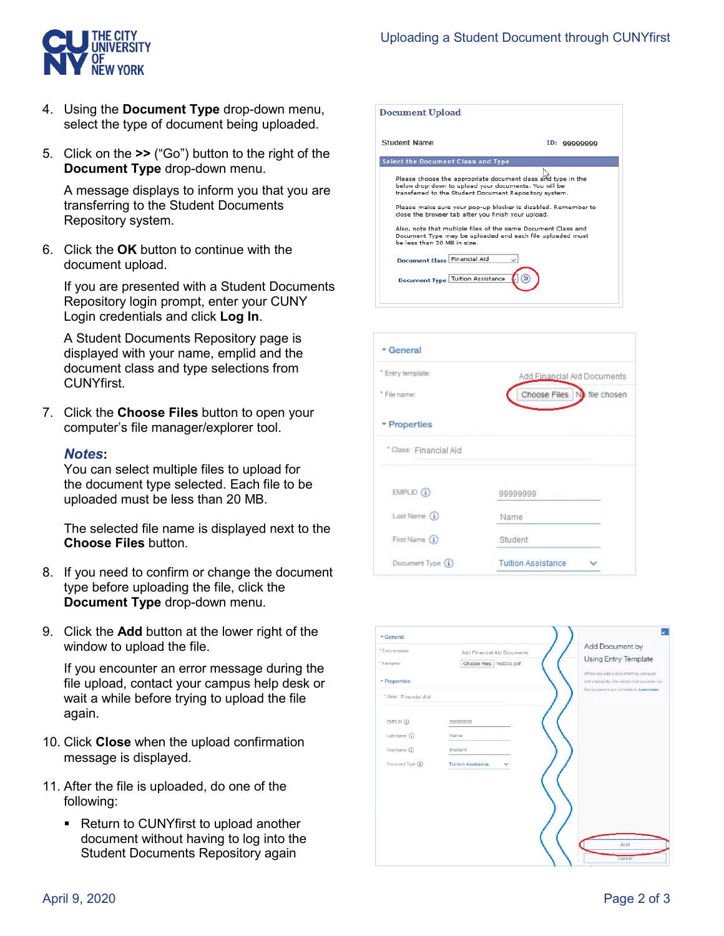

- 4. Using the **Document Type** drop-down menu, select the type of document being uploaded.
- 5. Click on the **>>** ("Go") button to the right of the **Document Type** drop-down menu.

A message displays to inform you that you are transferring to the Student Documents Repository system.

6. Click the **OK** button to continue with the document upload.

If you are presented with a Student Documents Repository login prompt, enter your CUNY Login credentials and click **Log In**.

A Student Documents Repository page is displayed with your name, emplid and the document class and type selections from CUNYfirst.

7. Click the **Choose Files** button to open your computer's file manager/explorer tool.

## *Notes***:**

You can select multiple files to upload for the document type selected. Each file to be uploaded must be less than 20 MB.

The selected file name is displayed next to the **Choose Files** button.

- 8. If you need to confirm or change the document type before uploading the file, click the **Document Type** drop-down menu.
- 9. Click the **Add** button at the lower right of the window to upload the file.

If you encounter an error message during the file upload, contact your campus help desk or wait a while before trying to upload the file again.

- 10. Click **Close** when the upload confirmation message is displayed.
- 11. After the file is uploaded, do one of the following:
	- Return to CUNYfirst to upload another document without having to log into the Student Documents Repository again

| <b>Document Upload</b>                                                                                                                                                                                                                                                                                                                                                                                                                                               |              |
|----------------------------------------------------------------------------------------------------------------------------------------------------------------------------------------------------------------------------------------------------------------------------------------------------------------------------------------------------------------------------------------------------------------------------------------------------------------------|--------------|
| <b>Student Name</b>                                                                                                                                                                                                                                                                                                                                                                                                                                                  | ID: 99999999 |
| Select the Document Class and Type                                                                                                                                                                                                                                                                                                                                                                                                                                   |              |
| Please choose the appropriate document class and type in the<br>below drop-down to upload your documents. You will be<br>transferred to the Student Document Repository system.<br>Please make sure your pop-up blocker is disabled. Remember to<br>close the browser tab after you finish your upload.<br>Also, note that multiple files of the same Document Class and<br>Document Type may be uploaded and each file uploaded must<br>be less than 20 MB in size. |              |
| Document Class Financial Aid                                                                                                                                                                                                                                                                                                                                                                                                                                         |              |
| Document Type Tuition Assistance                                                                                                                                                                                                                                                                                                                                                                                                                                     |              |

| General                |                             |
|------------------------|-----------------------------|
| * Entry template:      | Add Financial Aid Documents |
| * File name:           | Choose Files No file chosen |
| - Properties           |                             |
| * Class: Financial Aid |                             |
| $EMPLID$ $(i)$         | 99999999                    |
| Last Name $(i)$        | Name                        |
| First Name (i)         | Student                     |
| Document Type (i)      | <b>Tuition Assistance</b>   |